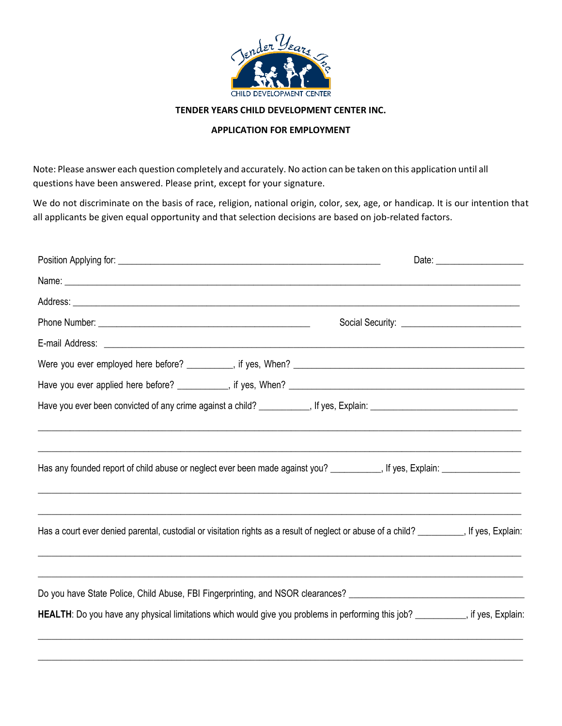

## **TENDER YEARS CHILD DEVELOPMENT CENTER INC.**

## **APPLICATION FOR EMPLOYMENT**

Note: Please answer each question completely and accurately. No action can be taken on this application until all questions have been answered. Please print, except for your signature.

We do not discriminate on the basis of race, religion, national origin, color, sex, age, or handicap. It is our intention that all applicants be given equal opportunity and that selection decisions are based on job-related factors.

| Has any founded report of child abuse or neglect ever been made against you? _________, If yes, Explain: __________________                                                                                                                     |  |
|-------------------------------------------------------------------------------------------------------------------------------------------------------------------------------------------------------------------------------------------------|--|
| Has a court ever denied parental, custodial or visitation rights as a result of neglect or abuse of a child? [15], If yes, Explain:                                                                                                             |  |
| Do you have State Police, Child Abuse, FBI Fingerprinting, and NSOR clearances? ______________________________<br>HEALTH: Do you have any physical limitations which would give you problems in performing this job? ________, if yes, Explain: |  |
|                                                                                                                                                                                                                                                 |  |

 $\_$  , and the set of the set of the set of the set of the set of the set of the set of the set of the set of the set of the set of the set of the set of the set of the set of the set of the set of the set of the set of th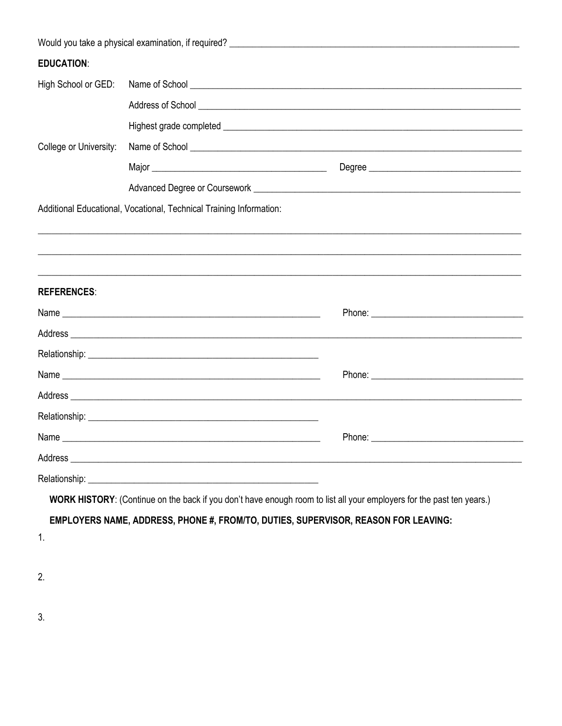| <b>EDUCATION:</b>      |                                                                                                                                                                                                                                |                                                                                                                                                                                                                                      |
|------------------------|--------------------------------------------------------------------------------------------------------------------------------------------------------------------------------------------------------------------------------|--------------------------------------------------------------------------------------------------------------------------------------------------------------------------------------------------------------------------------------|
| High School or GED:    |                                                                                                                                                                                                                                | Name of School <u>example and the second second second second second second second second second second second second second second second second second second second second second second second second second second second s</u> |
|                        |                                                                                                                                                                                                                                |                                                                                                                                                                                                                                      |
|                        |                                                                                                                                                                                                                                |                                                                                                                                                                                                                                      |
| College or University: |                                                                                                                                                                                                                                |                                                                                                                                                                                                                                      |
|                        |                                                                                                                                                                                                                                |                                                                                                                                                                                                                                      |
|                        |                                                                                                                                                                                                                                |                                                                                                                                                                                                                                      |
|                        | Additional Educational, Vocational, Technical Training Information:                                                                                                                                                            |                                                                                                                                                                                                                                      |
|                        |                                                                                                                                                                                                                                |                                                                                                                                                                                                                                      |
|                        |                                                                                                                                                                                                                                |                                                                                                                                                                                                                                      |
|                        |                                                                                                                                                                                                                                |                                                                                                                                                                                                                                      |
| <b>REFERENCES:</b>     |                                                                                                                                                                                                                                |                                                                                                                                                                                                                                      |
|                        |                                                                                                                                                                                                                                |                                                                                                                                                                                                                                      |
|                        |                                                                                                                                                                                                                                |                                                                                                                                                                                                                                      |
|                        |                                                                                                                                                                                                                                |                                                                                                                                                                                                                                      |
|                        |                                                                                                                                                                                                                                |                                                                                                                                                                                                                                      |
|                        |                                                                                                                                                                                                                                |                                                                                                                                                                                                                                      |
|                        |                                                                                                                                                                                                                                |                                                                                                                                                                                                                                      |
|                        |                                                                                                                                                                                                                                |                                                                                                                                                                                                                                      |
|                        | Address experiences and the contract of the contract of the contract of the contract of the contract of the contract of the contract of the contract of the contract of the contract of the contract of the contract of the co |                                                                                                                                                                                                                                      |
|                        |                                                                                                                                                                                                                                |                                                                                                                                                                                                                                      |
|                        | WORK HISTORY: (Continue on the back if you don't have enough room to list all your employers for the past ten years.)                                                                                                          |                                                                                                                                                                                                                                      |
|                        | EMPLOYERS NAME, ADDRESS, PHONE #, FROM/TO, DUTIES, SUPERVISOR, REASON FOR LEAVING:                                                                                                                                             |                                                                                                                                                                                                                                      |
| 1.                     |                                                                                                                                                                                                                                |                                                                                                                                                                                                                                      |

 $2.$ 

 $\overline{3}$ .